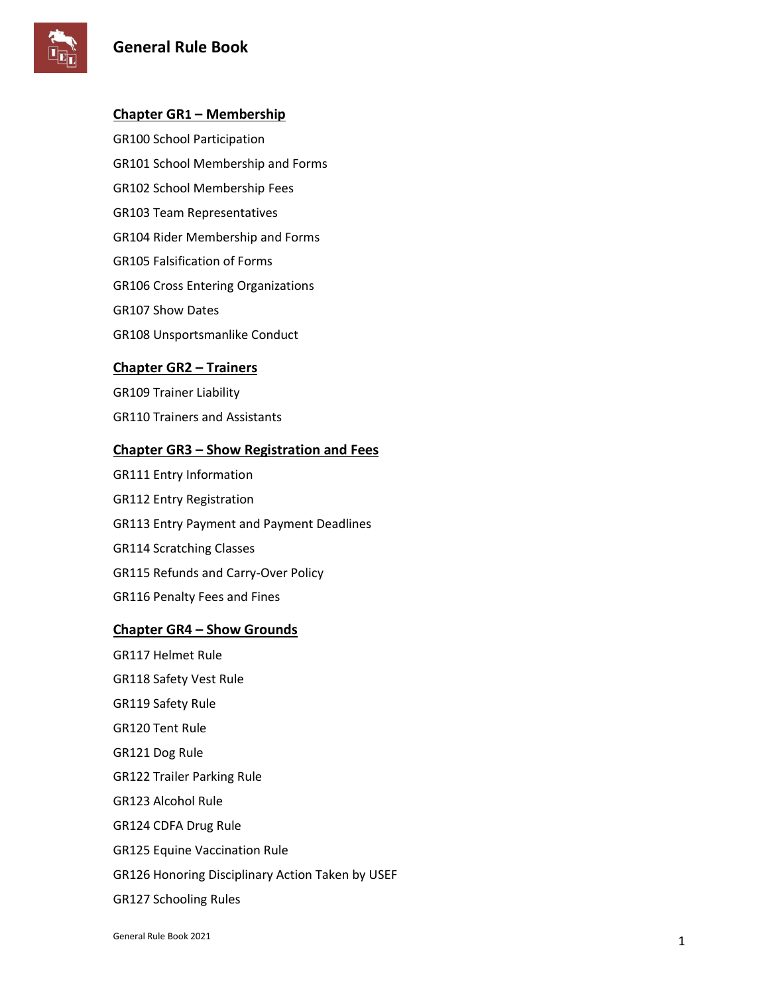

# **Chapter GR1 – Membership**

GR100 School Participation GR101 School Membership and Forms GR102 School Membership Fees GR103 Team Representatives GR104 Rider Membership and Forms GR105 Falsification of Forms GR106 Cross Entering Organizations GR107 Show Dates GR108 Unsportsmanlike Conduct

# **Chapter GR2 – Trainers**

GR109 Trainer Liability GR110 Trainers and Assistants

# **Chapter GR3 – Show Registration and Fees**

GR111 Entry Information GR112 Entry Registration GR113 Entry Payment and Payment Deadlines GR114 Scratching Classes GR115 Refunds and Carry-Over Policy GR116 Penalty Fees and Fines

# **Chapter GR4 – Show Grounds**

GR117 Helmet Rule GR118 Safety Vest Rule GR119 Safety Rule GR120 Tent Rule GR121 Dog Rule GR122 Trailer Parking Rule GR123 Alcohol Rule GR124 CDFA Drug Rule GR125 Equine Vaccination Rule GR126 Honoring Disciplinary Action Taken by USEF GR127 Schooling Rules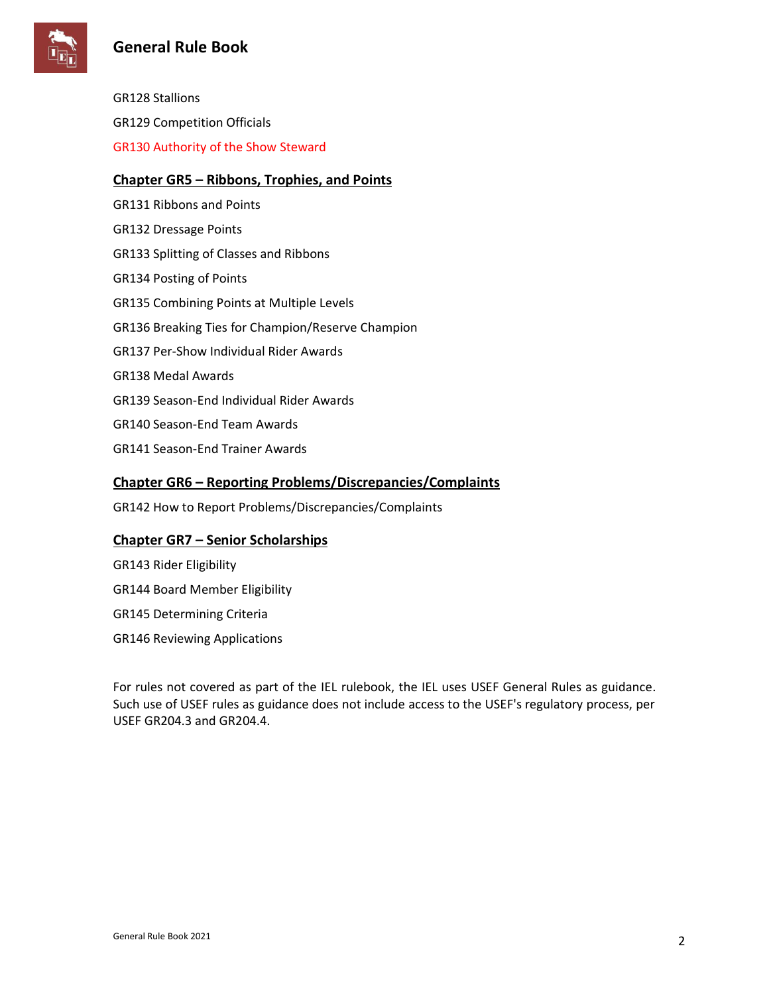

GR128 Stallions

GR129 Competition Officials

GR130 Authority of the Show Steward

# **Chapter GR5 – Ribbons, Trophies, and Points**

GR131 Ribbons and Points GR132 Dressage Points GR133 Splitting of Classes and Ribbons GR134 Posting of Points GR135 Combining Points at Multiple Levels GR136 Breaking Ties for Champion/Reserve Champion GR137 Per-Show Individual Rider Awards GR138 Medal Awards GR139 Season-End Individual Rider Awards GR140 Season-End Team Awards GR141 Season-End Trainer Awards

# **Chapter GR6 – Reporting Problems/Discrepancies/Complaints**

GR142 How to Report Problems/Discrepancies/Complaints

# **Chapter GR7 – Senior Scholarships**

GR143 Rider Eligibility GR144 Board Member Eligibility GR145 Determining Criteria GR146 Reviewing Applications

For rules not covered as part of the IEL rulebook, the IEL uses USEF General Rules as guidance. Such use of USEF rules as guidance does not include access to the USEF's regulatory process, per USEF GR204.3 and GR204.4.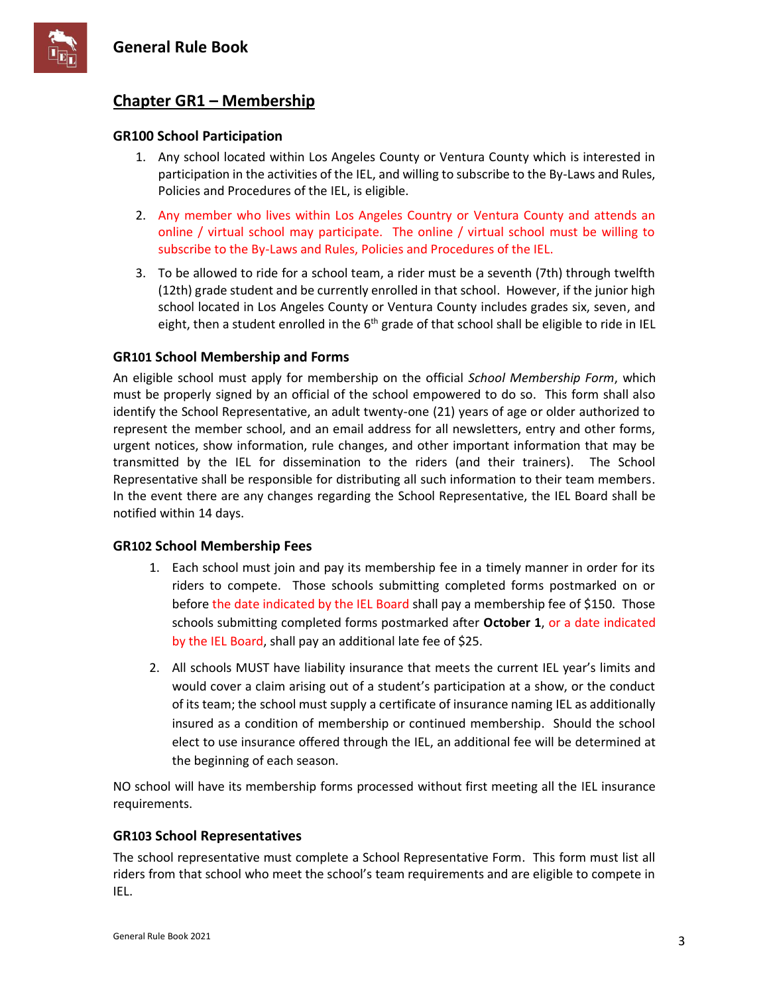

# **Chapter GR1 – Membership**

# **GR100 School Participation**

- 1. Any school located within Los Angeles County or Ventura County which is interested in participation in the activities of the IEL, and willing to subscribe to the By-Laws and Rules, Policies and Procedures of the IEL, is eligible.
- 2. Any member who lives within Los Angeles Country or Ventura County and attends an online / virtual school may participate. The online / virtual school must be willing to subscribe to the By-Laws and Rules, Policies and Procedures of the IEL.
- 3. To be allowed to ride for a school team, a rider must be a seventh (7th) through twelfth (12th) grade student and be currently enrolled in that school. However, if the junior high school located in Los Angeles County or Ventura County includes grades six, seven, and eight, then a student enrolled in the  $6<sup>th</sup>$  grade of that school shall be eligible to ride in IEL

# **GR101 School Membership and Forms**

An eligible school must apply for membership on the official *School Membership Form*, which must be properly signed by an official of the school empowered to do so. This form shall also identify the School Representative, an adult twenty-one (21) years of age or older authorized to represent the member school, and an email address for all newsletters, entry and other forms, urgent notices, show information, rule changes, and other important information that may be transmitted by the IEL for dissemination to the riders (and their trainers). The School Representative shall be responsible for distributing all such information to their team members. In the event there are any changes regarding the School Representative, the IEL Board shall be notified within 14 days.

# **GR102 School Membership Fees**

- 1. Each school must join and pay its membership fee in a timely manner in order for its riders to compete. Those schools submitting completed forms postmarked on or before the date indicated by the IEL Board shall pay a membership fee of \$150. Those schools submitting completed forms postmarked after **October 1**, or a date indicated by the IEL Board, shall pay an additional late fee of \$25.
- 2. All schools MUST have liability insurance that meets the current IEL year's limits and would cover a claim arising out of a student's participation at a show, or the conduct of its team; the school must supply a certificate of insurance naming IEL as additionally insured as a condition of membership or continued membership. Should the school elect to use insurance offered through the IEL, an additional fee will be determined at the beginning of each season.

NO school will have its membership forms processed without first meeting all the IEL insurance requirements.

# **GR103 School Representatives**

The school representative must complete a School Representative Form. This form must list all riders from that school who meet the school's team requirements and are eligible to compete in IEL.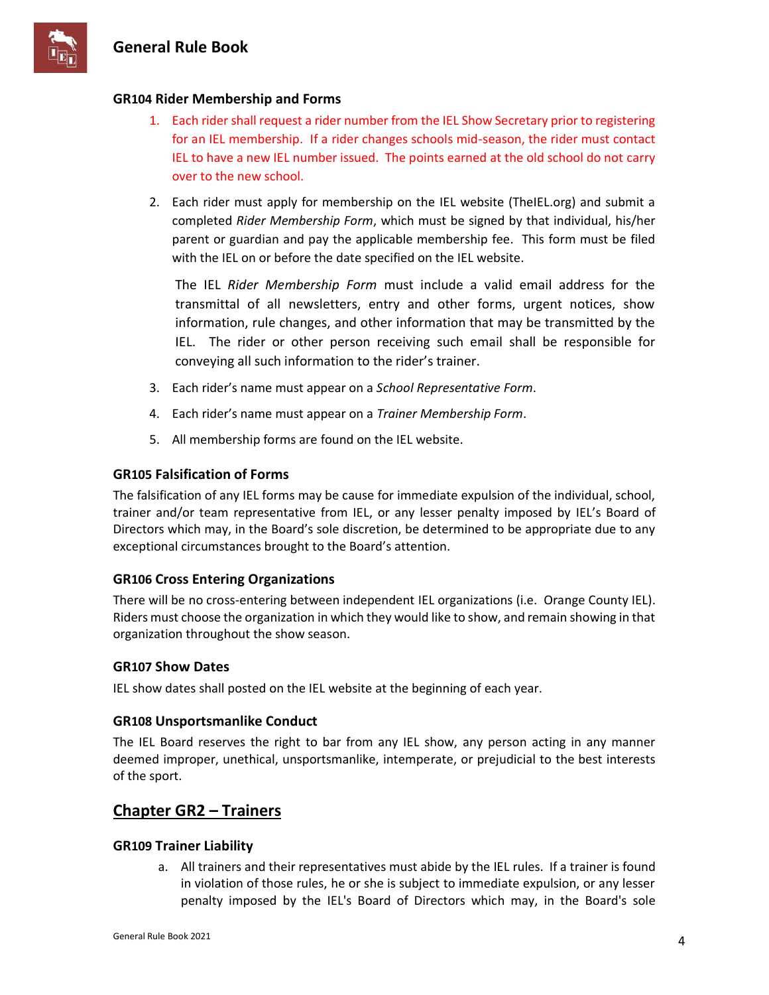# **GR104 Rider Membership and Forms**

- 1. Each rider shall request a rider number from the IEL Show Secretary prior to registering for an IEL membership. If a rider changes schools mid-season, the rider must contact IEL to have a new IEL number issued. The points earned at the old school do not carry over to the new school.
- 2. Each rider must apply for membership on the IEL website (TheIEL.org) and submit a completed *Rider Membership Form*, which must be signed by that individual, his/her parent or guardian and pay the applicable membership fee. This form must be filed with the IEL on or before the date specified on the IEL website.

The IEL *Rider Membership Form* must include a valid email address for the transmittal of all newsletters, entry and other forms, urgent notices, show information, rule changes, and other information that may be transmitted by the IEL. The rider or other person receiving such email shall be responsible for conveying all such information to the rider's trainer.

- 3. Each rider's name must appear on a *School Representative Form*.
- 4. Each rider's name must appear on a *Trainer Membership Form*.
- 5. All membership forms are found on the IEL website.

# **GR105 Falsification of Forms**

The falsification of any IEL forms may be cause for immediate expulsion of the individual, school, trainer and/or team representative from IEL, or any lesser penalty imposed by IEL's Board of Directors which may, in the Board's sole discretion, be determined to be appropriate due to any exceptional circumstances brought to the Board's attention.

# **GR106 Cross Entering Organizations**

There will be no cross-entering between independent IEL organizations (i.e. Orange County IEL). Riders must choose the organization in which they would like to show, and remain showing in that organization throughout the show season.

# **GR107 Show Dates**

IEL show dates shall posted on the IEL website at the beginning of each year.

# **GR108 Unsportsmanlike Conduct**

The IEL Board reserves the right to bar from any IEL show, any person acting in any manner deemed improper, unethical, unsportsmanlike, intemperate, or prejudicial to the best interests of the sport.

# **Chapter GR2 – Trainers**

# **GR109 Trainer Liability**

a. All trainers and their representatives must abide by the IEL rules. If a trainer is found in violation of those rules, he or she is subject to immediate expulsion, or any lesser penalty imposed by the IEL's Board of Directors which may, in the Board's sole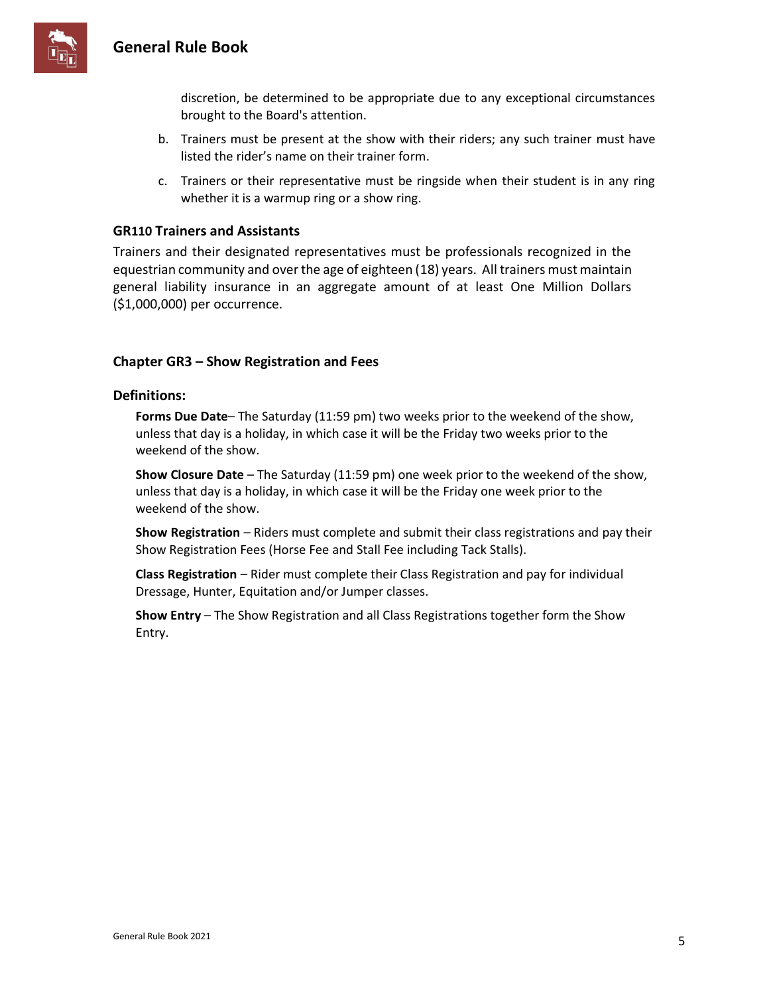

discretion, be determined to be appropriate due to any exceptional circumstances brought to the Board's attention.

- b. Trainers must be present at the show with their riders; any such trainer must have listed the rider's name on their trainer form.
- c. Trainers or their representative must be ringside when their student is in any ring whether it is a warmup ring or a show ring.

# **GR110 Trainers and Assistants**

Trainers and their designated representatives must be professionals recognized in the equestrian community and over the age of eighteen (18) years. All trainers must maintain general liability insurance in an aggregate amount of at least One Million Dollars (\$1,000,000) per occurrence.

# **Chapter GR3 – Show Registration and Fees**

# **Definitions:**

**Forms Due Date**– The Saturday (11:59 pm) two weeks prior to the weekend of the show, unless that day is a holiday, in which case it will be the Friday two weeks prior to the weekend of the show.

**Show Closure Date** – The Saturday (11:59 pm) one week prior to the weekend of the show, unless that day is a holiday, in which case it will be the Friday one week prior to the weekend of the show.

**Show Registration** – Riders must complete and submit their class registrations and pay their Show Registration Fees (Horse Fee and Stall Fee including Tack Stalls).

**Class Registration** – Rider must complete their Class Registration and pay for individual Dressage, Hunter, Equitation and/or Jumper classes.

**Show Entry** – The Show Registration and all Class Registrations together form the Show Entry.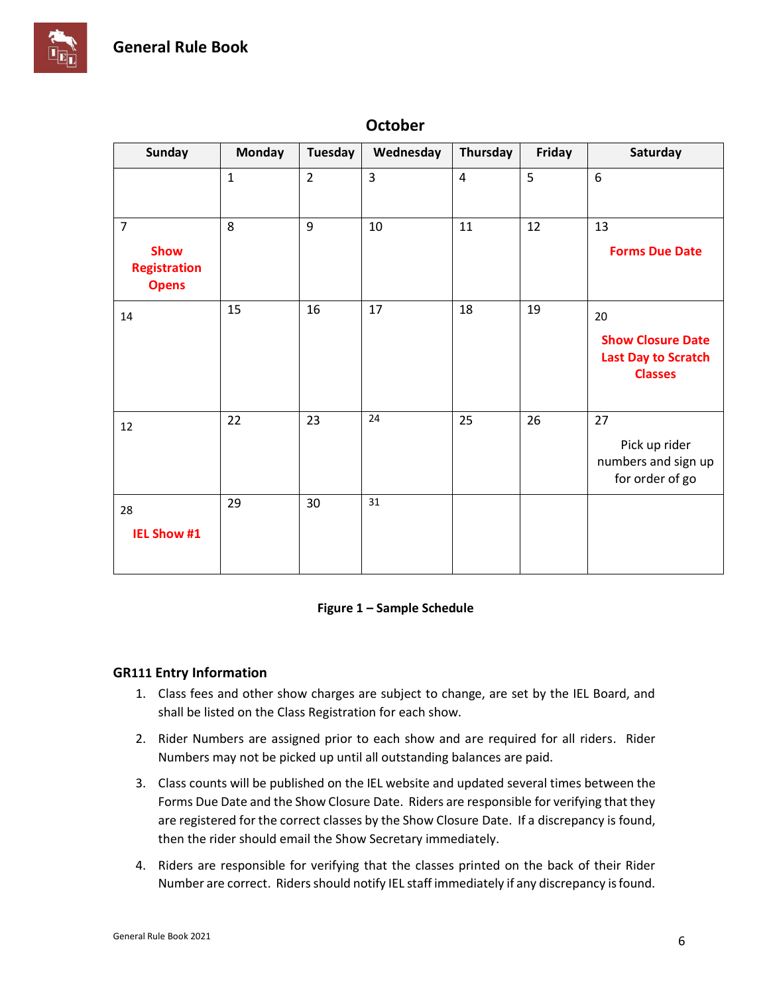

| <b>Sunday</b>                                                        | <b>Monday</b> | <b>Tuesday</b> | Wednesday | Thursday | Friday | Saturday                                                                       |
|----------------------------------------------------------------------|---------------|----------------|-----------|----------|--------|--------------------------------------------------------------------------------|
|                                                                      | $\mathbf{1}$  | $\overline{2}$ | 3         | 4        | 5      | 6                                                                              |
| $\overline{7}$<br><b>Show</b><br><b>Registration</b><br><b>Opens</b> | 8             | 9              | 10        | 11       | 12     | 13<br><b>Forms Due Date</b>                                                    |
| 14                                                                   | 15            | 16             | 17        | 18       | 19     | 20<br><b>Show Closure Date</b><br><b>Last Day to Scratch</b><br><b>Classes</b> |
| 12                                                                   | 22            | 23             | 24        | 25       | 26     | 27<br>Pick up rider<br>numbers and sign up<br>for order of go                  |
| 28<br><b>IEL Show #1</b>                                             | 29            | 30             | 31        |          |        |                                                                                |

# **October**

# **Figure 1 – Sample Schedule**

# **GR111 Entry Information**

- 1. Class fees and other show charges are subject to change, are set by the IEL Board, and shall be listed on the Class Registration for each show.
- 2. Rider Numbers are assigned prior to each show and are required for all riders. Rider Numbers may not be picked up until all outstanding balances are paid.
- 3. Class counts will be published on the IEL website and updated several times between the Forms Due Date and the Show Closure Date. Riders are responsible for verifying that they are registered for the correct classes by the Show Closure Date. If a discrepancy is found, then the rider should email the Show Secretary immediately.
- 4. Riders are responsible for verifying that the classes printed on the back of their Rider Number are correct. Riders should notify IEL staff immediately if any discrepancy is found.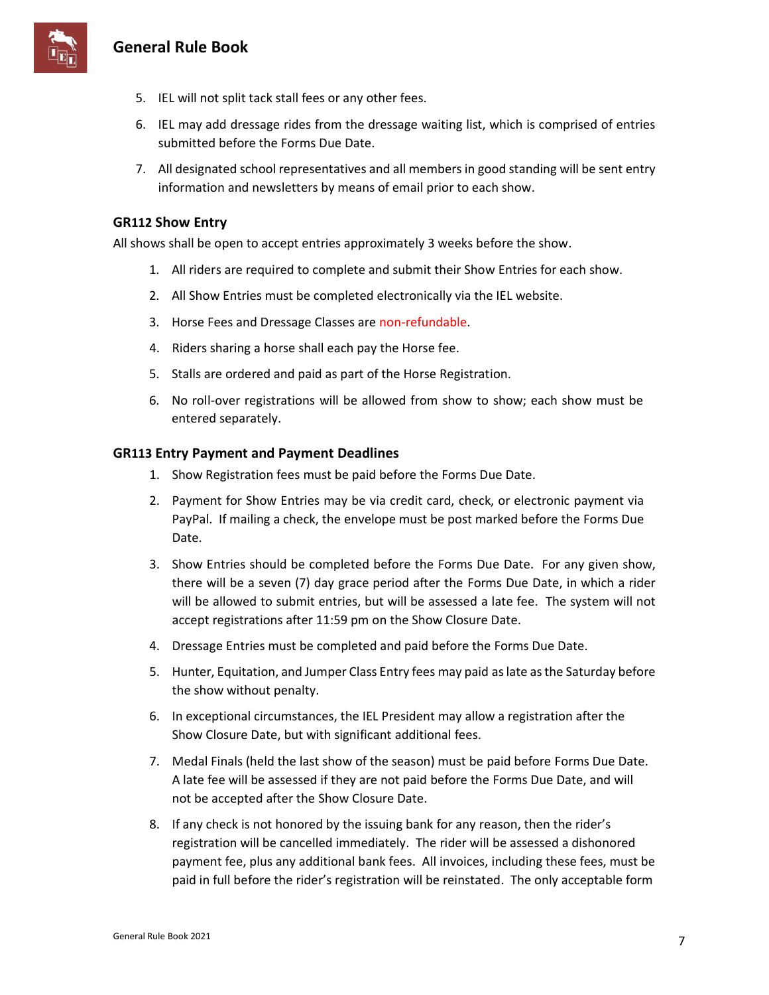

- 5. IEL will not split tack stall fees or any other fees.
- 6. IEL may add dressage rides from the dressage waiting list, which is comprised of entries submitted before the Forms Due Date.
- 7. All designated school representatives and all members in good standing will be sent entry information and newsletters by means of email prior to each show.

# **GR112 Show Entry**

All shows shall be open to accept entries approximately 3 weeks before the show.

- 1. All riders are required to complete and submit their Show Entries for each show.
- 2. All Show Entries must be completed electronically via the IEL website.
- 3. Horse Fees and Dressage Classes are non-refundable.
- 4. Riders sharing a horse shall each pay the Horse fee.
- 5. Stalls are ordered and paid as part of the Horse Registration.
- 6. No roll-over registrations will be allowed from show to show; each show must be entered separately.

#### **GR113 Entry Payment and Payment Deadlines**

- 1. Show Registration fees must be paid before the Forms Due Date.
- 2. Payment for Show Entries may be via credit card, check, or electronic payment via PayPal. If mailing a check, the envelope must be post marked before the Forms Due Date.
- 3. Show Entries should be completed before the Forms Due Date. For any given show, there will be a seven (7) day grace period after the Forms Due Date, in which a rider will be allowed to submit entries, but will be assessed a late fee. The system will not accept registrations after 11:59 pm on the Show Closure Date.
- 4. Dressage Entries must be completed and paid before the Forms Due Date.
- 5. Hunter, Equitation, and Jumper Class Entry fees may paid as late as the Saturday before the show without penalty.
- 6. In exceptional circumstances, the IEL President may allow a registration after the Show Closure Date, but with significant additional fees.
- 7. Medal Finals (held the last show of the season) must be paid before Forms Due Date. A late fee will be assessed if they are not paid before the Forms Due Date, and will not be accepted after the Show Closure Date.
- 8. If any check is not honored by the issuing bank for any reason, then the rider's registration will be cancelled immediately. The rider will be assessed a dishonored payment fee, plus any additional bank fees. All invoices, including these fees, must be paid in full before the rider's registration will be reinstated. The only acceptable form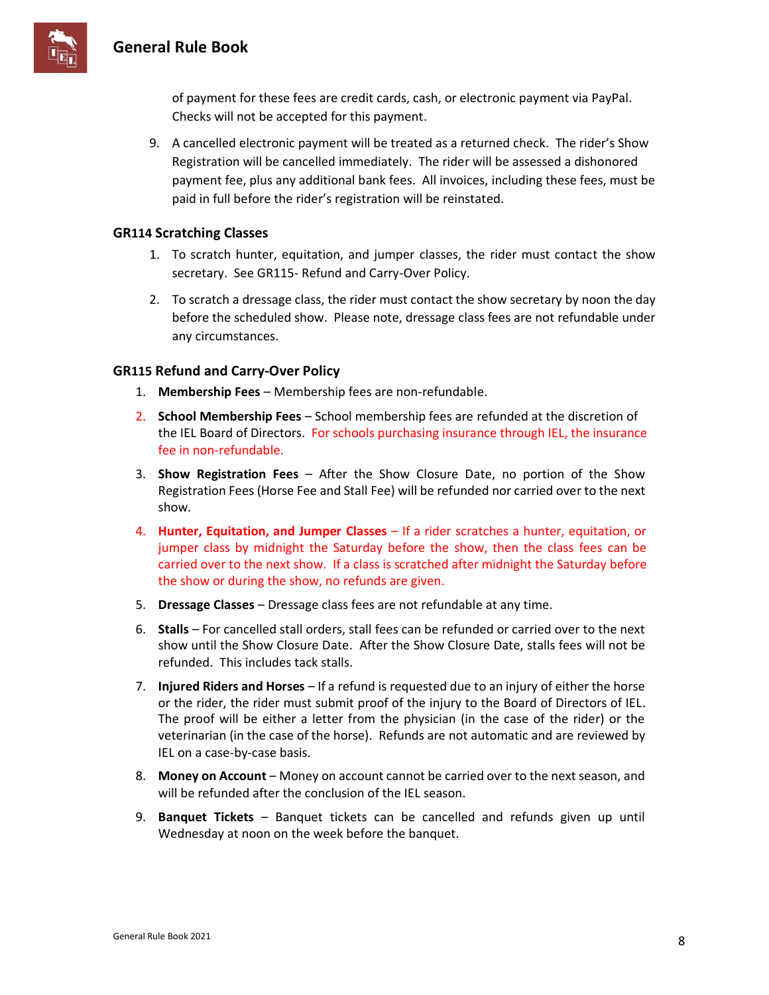

of payment for these fees are credit cards, cash, or electronic payment via PayPal. Checks will not be accepted for this payment.

9. A cancelled electronic payment will be treated as a returned check. The rider's Show Registration will be cancelled immediately. The rider will be assessed a dishonored payment fee, plus any additional bank fees. All invoices, including these fees, must be paid in full before the rider's registration will be reinstated.

# **GR114 Scratching Classes**

- 1. To scratch hunter, equitation, and jumper classes, the rider must contact the show secretary. See GR115- Refund and Carry-Over Policy.
- 2. To scratch a dressage class, the rider must contact the show secretary by noon the day before the scheduled show. Please note, dressage class fees are not refundable under any circumstances.

# **GR115 Refund and Carry-Over Policy**

- 1. **Membership Fees** Membership fees are non-refundable.
- 2. **School Membership Fees** School membership fees are refunded at the discretion of the IEL Board of Directors. For schools purchasing insurance through IEL, the insurance fee in non-refundable.
- 3. **Show Registration Fees** After the Show Closure Date, no portion of the Show Registration Fees (Horse Fee and Stall Fee) will be refunded nor carried over to the next show.
- 4. **Hunter, Equitation, and Jumper Classes** If a rider scratches a hunter, equitation, or jumper class by midnight the Saturday before the show, then the class fees can be carried over to the next show. If a class is scratched after midnight the Saturday before the show or during the show, no refunds are given.
- 5. **Dressage Classes** Dressage class fees are not refundable at any time.
- 6. **Stalls** For cancelled stall orders, stall fees can be refunded or carried over to the next show until the Show Closure Date. After the Show Closure Date, stalls fees will not be refunded. This includes tack stalls.
- 7. **Injured Riders and Horses** If a refund is requested due to an injury of either the horse or the rider, the rider must submit proof of the injury to the Board of Directors of IEL. The proof will be either a letter from the physician (in the case of the rider) or the veterinarian (in the case of the horse). Refunds are not automatic and are reviewed by IEL on a case-by-case basis.
- 8. **Money on Account** Money on account cannot be carried over to the next season, and will be refunded after the conclusion of the IEL season.
- 9. **Banquet Tickets** Banquet tickets can be cancelled and refunds given up until Wednesday at noon on the week before the banquet.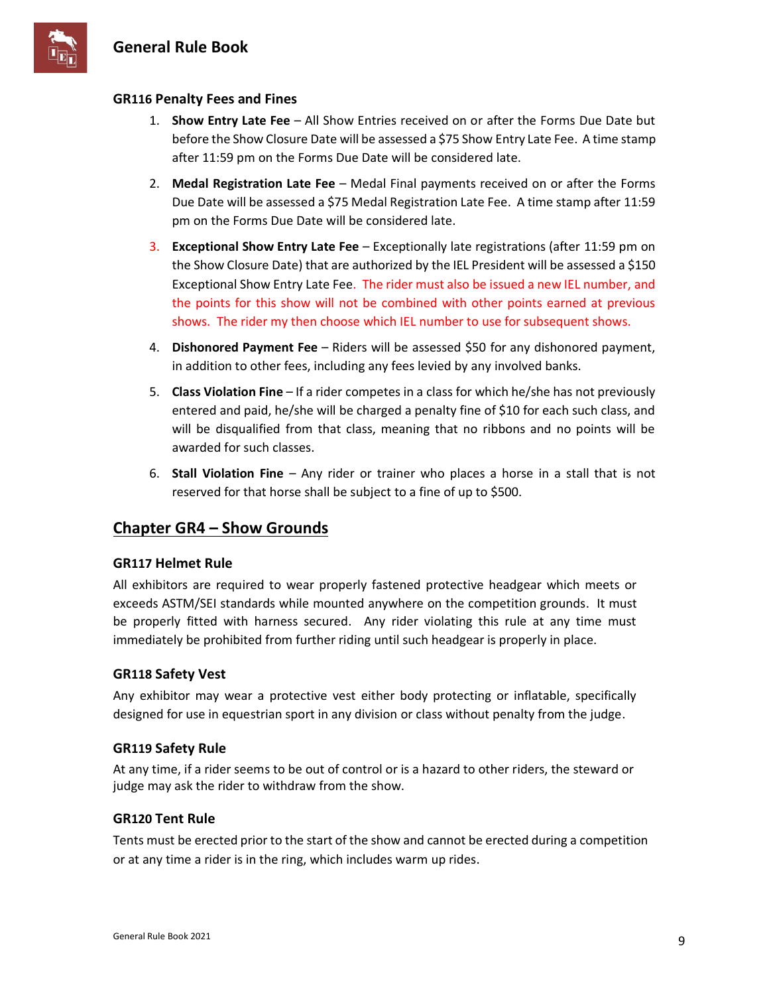# **GR116 Penalty Fees and Fines**

- 1. **Show Entry Late Fee** All Show Entries received on or after the Forms Due Date but before the Show Closure Date will be assessed a \$75 Show Entry Late Fee. A time stamp after 11:59 pm on the Forms Due Date will be considered late.
- 2. **Medal Registration Late Fee** Medal Final payments received on or after the Forms Due Date will be assessed a \$75 Medal Registration Late Fee. A time stamp after 11:59 pm on the Forms Due Date will be considered late.
- 3. **Exceptional Show Entry Late Fee** Exceptionally late registrations (after 11:59 pm on the Show Closure Date) that are authorized by the IEL President will be assessed a \$150 Exceptional Show Entry Late Fee. The rider must also be issued a new IEL number, and the points for this show will not be combined with other points earned at previous shows. The rider my then choose which IEL number to use for subsequent shows.
- 4. **Dishonored Payment Fee** Riders will be assessed \$50 for any dishonored payment, in addition to other fees, including any fees levied by any involved banks.
- 5. **Class Violation Fine** If a rider competes in a class for which he/she has not previously entered and paid, he/she will be charged a penalty fine of \$10 for each such class, and will be disqualified from that class, meaning that no ribbons and no points will be awarded for such classes.
- 6. **Stall Violation Fine** Any rider or trainer who places a horse in a stall that is not reserved for that horse shall be subject to a fine of up to \$500.

# **Chapter GR4 – Show Grounds**

# **GR117 Helmet Rule**

All exhibitors are required to wear properly fastened protective headgear which meets or exceeds ASTM/SEI standards while mounted anywhere on the competition grounds. It must be properly fitted with harness secured. Any rider violating this rule at any time must immediately be prohibited from further riding until such headgear is properly in place.

# **GR118 Safety Vest**

Any exhibitor may wear a protective vest either body protecting or inflatable, specifically designed for use in equestrian sport in any division or class without penalty from the judge.

# **GR119 Safety Rule**

At any time, if a rider seems to be out of control or is a hazard to other riders, the steward or judge may ask the rider to withdraw from the show.

# **GR120 Tent Rule**

Tents must be erected prior to the start of the show and cannot be erected during a competition or at any time a rider is in the ring, which includes warm up rides.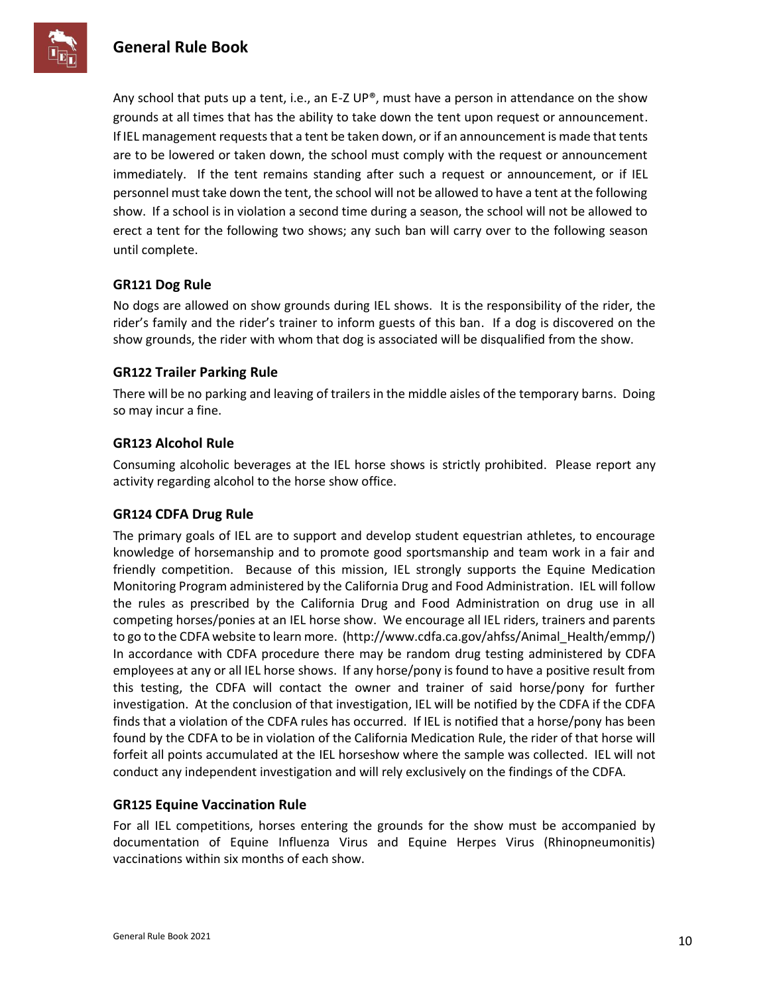

Any school that puts up a tent, i.e., an E-Z UP®, must have a person in attendance on the show grounds at all times that has the ability to take down the tent upon request or announcement. If IEL management requests that a tent be taken down, or if an announcement is made that tents are to be lowered or taken down, the school must comply with the request or announcement immediately. If the tent remains standing after such a request or announcement, or if IEL personnel must take down the tent, the school will not be allowed to have a tent at the following show. If a school is in violation a second time during a season, the school will not be allowed to erect a tent for the following two shows; any such ban will carry over to the following season until complete.

#### **GR121 Dog Rule**

No dogs are allowed on show grounds during IEL shows. It is the responsibility of the rider, the rider's family and the rider's trainer to inform guests of this ban. If a dog is discovered on the show grounds, the rider with whom that dog is associated will be disqualified from the show.

#### **GR122 Trailer Parking Rule**

There will be no parking and leaving of trailers in the middle aisles of the temporary barns. Doing so may incur a fine.

#### **GR123 Alcohol Rule**

Consuming alcoholic beverages at the IEL horse shows is strictly prohibited. Please report any activity regarding alcohol to the horse show office.

#### **GR124 CDFA Drug Rule**

The primary goals of IEL are to support and develop student equestrian athletes, to encourage knowledge of horsemanship and to promote good sportsmanship and team work in a fair and friendly competition. Because of this mission, IEL strongly supports the Equine Medication Monitoring Program administered by the California Drug and Food Administration. IEL will follow the rules as prescribed by the California Drug and Food Administration on drug use in all competing horses/ponies at an IEL horse show. We encourage all IEL riders, trainers and parents to go to the CDFA website to learn more. (http://www.cdfa.ca.gov/ahfss/Animal\_Health/emmp/) In accordance with CDFA procedure there may be random drug testing administered by CDFA employees at any or all IEL horse shows. If any horse/pony is found to have a positive result from this testing, the CDFA will contact the owner and trainer of said horse/pony for further investigation. At the conclusion of that investigation, IEL will be notified by the CDFA if the CDFA finds that a violation of the CDFA rules has occurred. If IEL is notified that a horse/pony has been found by the CDFA to be in violation of the California Medication Rule, the rider of that horse will forfeit all points accumulated at the IEL horseshow where the sample was collected. IEL will not conduct any independent investigation and will rely exclusively on the findings of the CDFA.

#### **GR125 Equine Vaccination Rule**

For all IEL competitions, horses entering the grounds for the show must be accompanied by documentation of Equine Influenza Virus and Equine Herpes Virus (Rhinopneumonitis) vaccinations within six months of each show.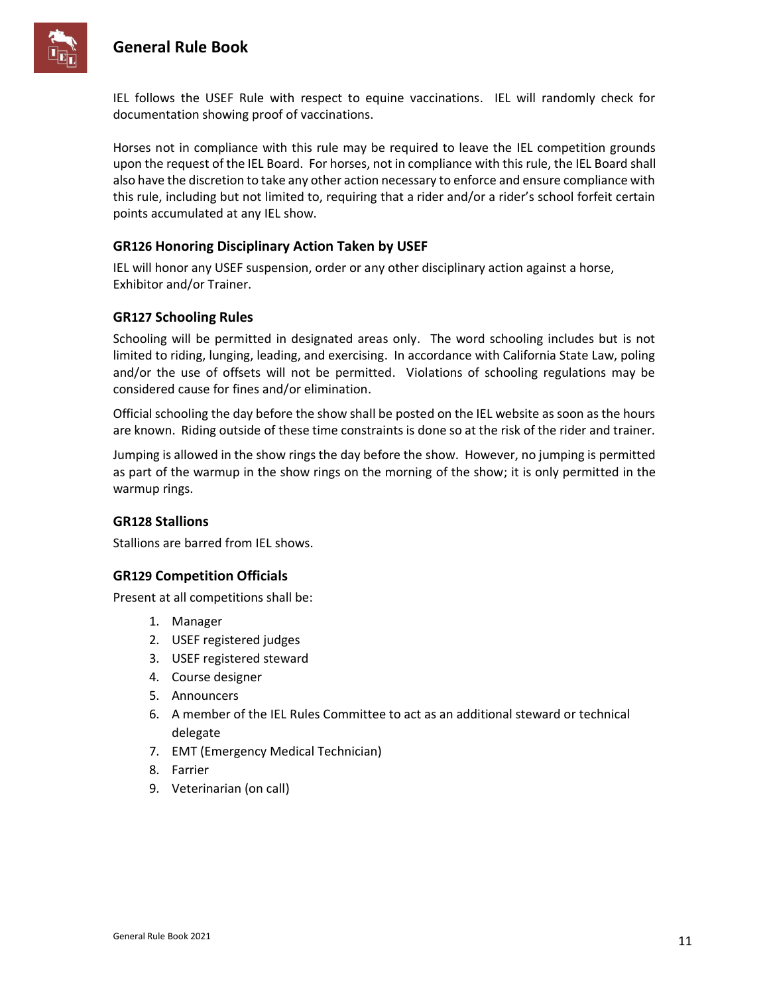

IEL follows the USEF Rule with respect to equine vaccinations. IEL will randomly check for documentation showing proof of vaccinations.

Horses not in compliance with this rule may be required to leave the IEL competition grounds upon the request of the IEL Board. For horses, not in compliance with this rule, the IEL Board shall also have the discretion to take any other action necessary to enforce and ensure compliance with this rule, including but not limited to, requiring that a rider and/or a rider's school forfeit certain points accumulated at any IEL show.

# **GR126 Honoring Disciplinary Action Taken by USEF**

IEL will honor any USEF suspension, order or any other disciplinary action against a horse, Exhibitor and/or Trainer.

# **GR127 Schooling Rules**

Schooling will be permitted in designated areas only. The word schooling includes but is not limited to riding, lunging, leading, and exercising. In accordance with California State Law, poling and/or the use of offsets will not be permitted. Violations of schooling regulations may be considered cause for fines and/or elimination.

Official schooling the day before the show shall be posted on the IEL website as soon as the hours are known. Riding outside of these time constraints is done so at the risk of the rider and trainer.

Jumping is allowed in the show rings the day before the show. However, no jumping is permitted as part of the warmup in the show rings on the morning of the show; it is only permitted in the warmup rings.

# **GR128 Stallions**

Stallions are barred from IEL shows.

# **GR129 Competition Officials**

Present at all competitions shall be:

- 1. Manager
- 2. USEF registered judges
- 3. USEF registered steward
- 4. Course designer
- 5. Announcers
- 6. A member of the IEL Rules Committee to act as an additional steward or technical delegate
- 7. EMT (Emergency Medical Technician)
- 8. Farrier
- 9. Veterinarian (on call)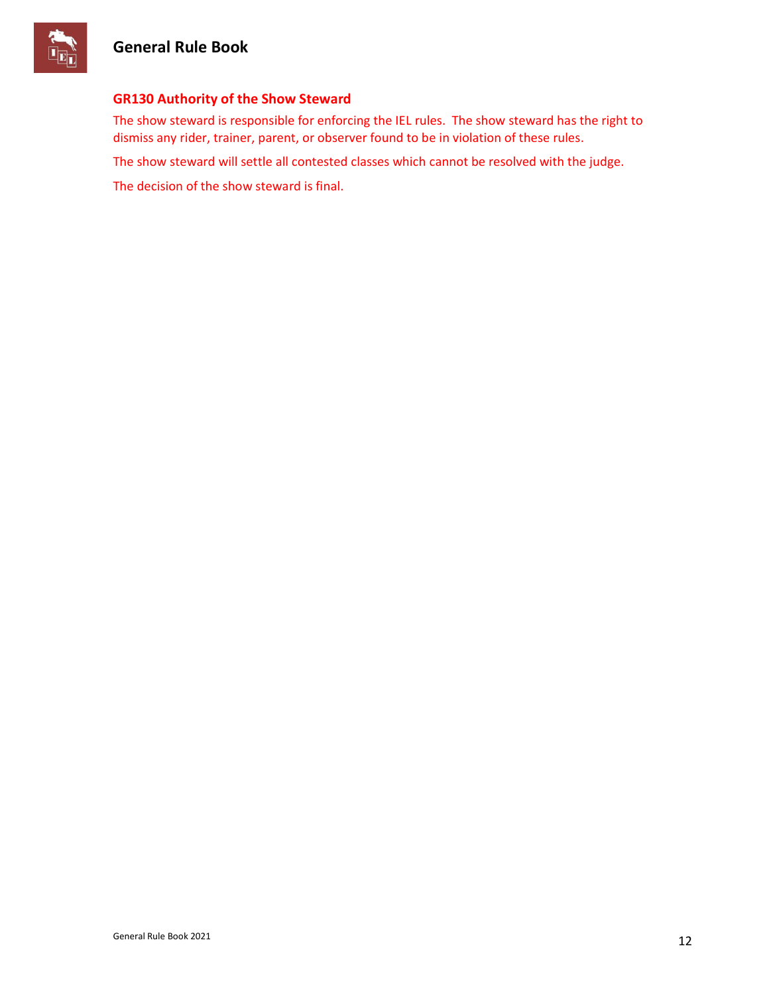



The show steward is responsible for enforcing the IEL rules. The show steward has the right to dismiss any rider, trainer, parent, or observer found to be in violation of these rules.

The show steward will settle all contested classes which cannot be resolved with the judge.

The decision of the show steward is final.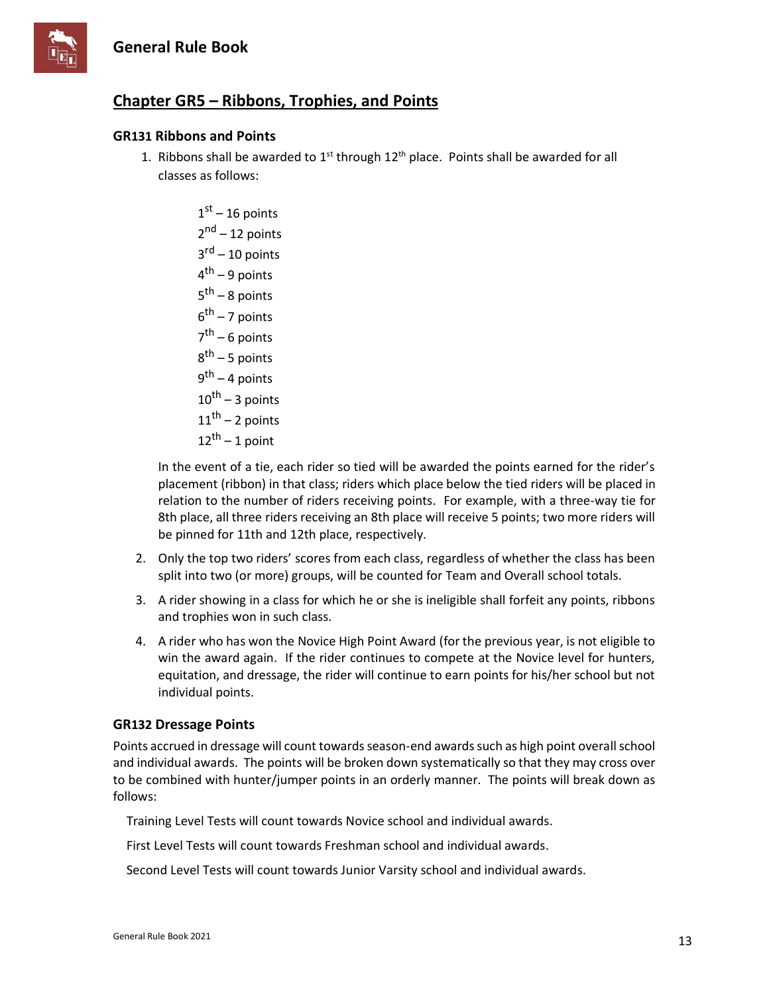

# **Chapter GR5 – Ribbons, Trophies, and Points**

# **GR131 Ribbons and Points**

1. Ribbons shall be awarded to  $1^{st}$  through  $12^{th}$  place. Points shall be awarded for all classes as follows:

> $1^\text{st}$  – 16 points 2<sup>nd</sup> – 12 points 3<sup>rd</sup> – 10 points 4<sup>th</sup> – 9 points 5<sup>th</sup> – 8 points 6<sup>th</sup> – 7 points 7<sup>th</sup> – 6 points 8<sup>th</sup> – 5 points 9<sup>th</sup> – 4 points 10<sup>th</sup> – 3 points  $11^{\text{th}}$  – 2 points 12<sup>th</sup> – 1 point

In the event of a tie, each rider so tied will be awarded the points earned for the rider's placement (ribbon) in that class; riders which place below the tied riders will be placed in relation to the number of riders receiving points. For example, with a three-way tie for 8th place, all three riders receiving an 8th place will receive 5 points; two more riders will be pinned for 11th and 12th place, respectively.

- 2. Only the top two riders' scores from each class, regardless of whether the class has been split into two (or more) groups, will be counted for Team and Overall school totals.
- 3. A rider showing in a class for which he or she is ineligible shall forfeit any points, ribbons and trophies won in such class.
- 4. A rider who has won the Novice High Point Award (for the previous year, is not eligible to win the award again. If the rider continues to compete at the Novice level for hunters, equitation, and dressage, the rider will continue to earn points for his/her school but not individual points.

# **GR132 Dressage Points**

Points accrued in dressage will count towards season-end awards such as high point overall school and individual awards. The points will be broken down systematically so that they may cross over to be combined with hunter/jumper points in an orderly manner. The points will break down as follows:

Training Level Tests will count towards Novice school and individual awards.

First Level Tests will count towards Freshman school and individual awards.

Second Level Tests will count towards Junior Varsity school and individual awards.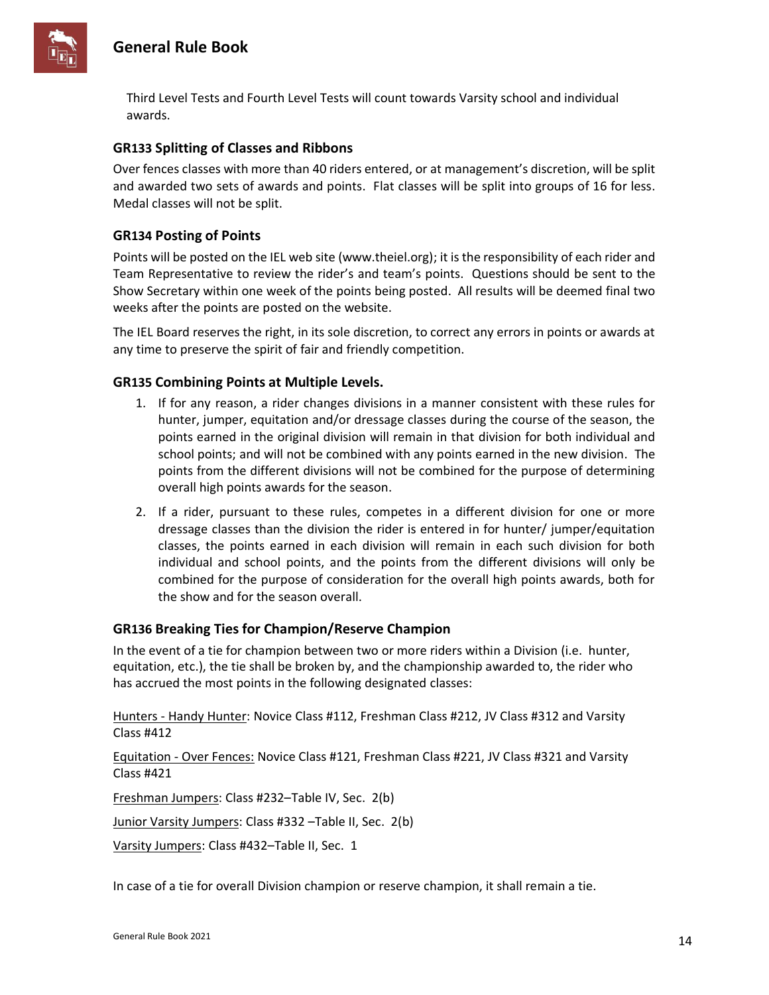



Third Level Tests and Fourth Level Tests will count towards Varsity school and individual awards.

# **GR133 Splitting of Classes and Ribbons**

Over fences classes with more than 40 riders entered, or at management's discretion, will be split and awarded two sets of awards and points. Flat classes will be split into groups of 16 for less. Medal classes will not be split.

# **GR134 Posting of Points**

Points will be posted on the IEL web site (www.theiel.org); it is the responsibility of each rider and Team Representative to review the rider's and team's points. Questions should be sent to the Show Secretary within one week of the points being posted. All results will be deemed final two weeks after the points are posted on the website.

The IEL Board reserves the right, in its sole discretion, to correct any errors in points or awards at any time to preserve the spirit of fair and friendly competition.

# **GR135 Combining Points at Multiple Levels.**

- 1. If for any reason, a rider changes divisions in a manner consistent with these rules for hunter, jumper, equitation and/or dressage classes during the course of the season, the points earned in the original division will remain in that division for both individual and school points; and will not be combined with any points earned in the new division. The points from the different divisions will not be combined for the purpose of determining overall high points awards for the season.
- 2. If a rider, pursuant to these rules, competes in a different division for one or more dressage classes than the division the rider is entered in for hunter/ jumper/equitation classes, the points earned in each division will remain in each such division for both individual and school points, and the points from the different divisions will only be combined for the purpose of consideration for the overall high points awards, both for the show and for the season overall.

# **GR136 Breaking Ties for Champion/Reserve Champion**

In the event of a tie for champion between two or more riders within a Division (i.e. hunter, equitation, etc.), the tie shall be broken by, and the championship awarded to, the rider who has accrued the most points in the following designated classes:

Hunters - Handy Hunter: Novice Class #112, Freshman Class #212, JV Class #312 and Varsity Class #412

Equitation - Over Fences: Novice Class #121, Freshman Class #221, JV Class #321 and Varsity Class #421

Freshman Jumpers: Class #232–Table IV, Sec. 2(b)

Junior Varsity Jumpers: Class #332 –Table II, Sec. 2(b)

Varsity Jumpers: Class #432–Table II, Sec. 1

In case of a tie for overall Division champion or reserve champion, it shall remain a tie.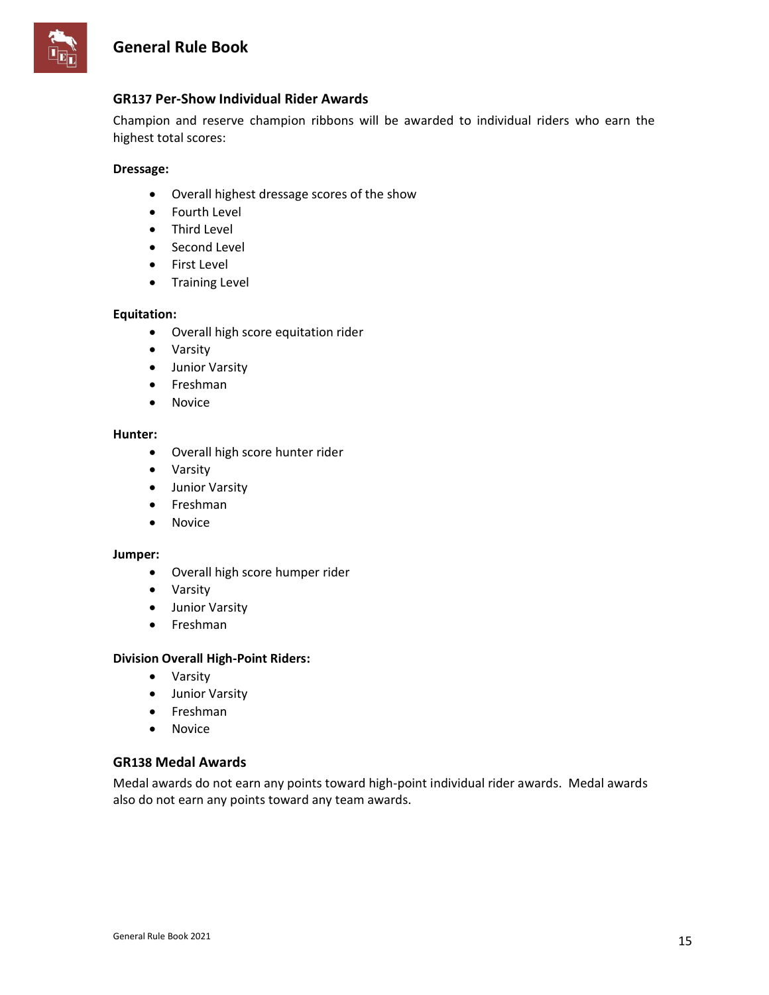

# **GR137 Per-Show Individual Rider Awards**

Champion and reserve champion ribbons will be awarded to individual riders who earn the highest total scores:

#### **Dressage:**

- Overall highest dressage scores of the show
- Fourth Level
- Third Level
- Second Level
- First Level
- Training Level

#### **Equitation:**

- Overall high score equitation rider
- Varsity
- Junior Varsity
- Freshman
- Novice

#### **Hunter:**

- Overall high score hunter rider
- Varsity
- Junior Varsity
- Freshman
- Novice

#### **Jumper:**

- Overall high score humper rider
- Varsity
- Junior Varsity
- Freshman

# **Division Overall High-Point Riders:**

- Varsity
- Junior Varsity
- Freshman
- Novice

# **GR138 Medal Awards**

Medal awards do not earn any points toward high-point individual rider awards. Medal awards also do not earn any points toward any team awards.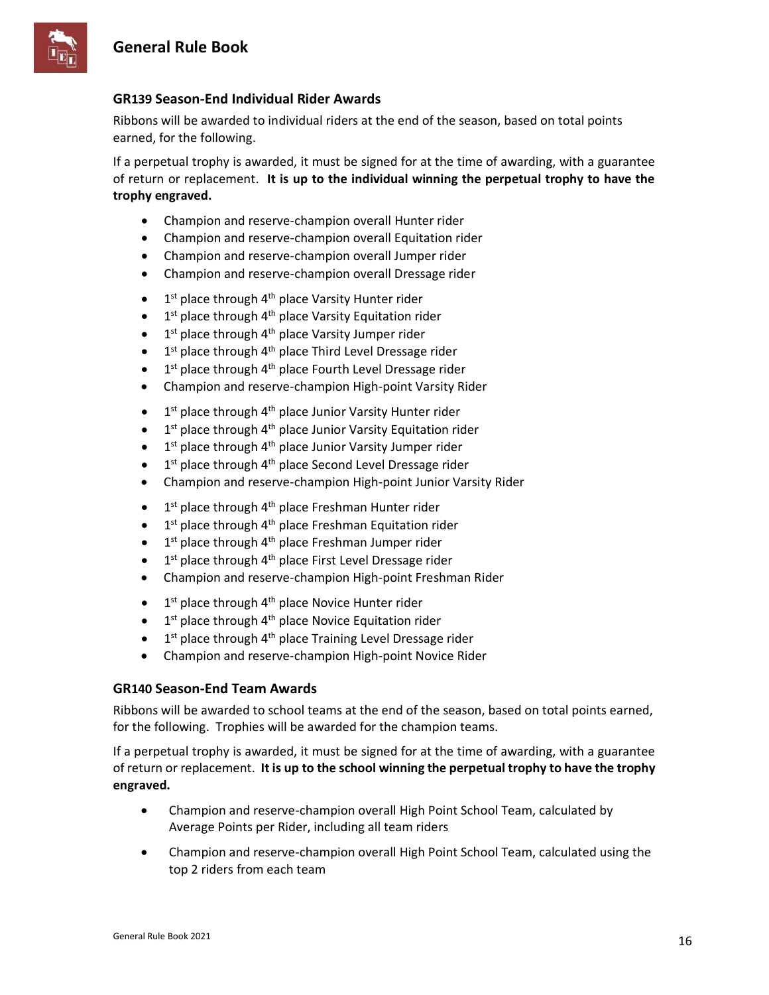



Ribbons will be awarded to individual riders at the end of the season, based on total points earned, for the following.

If a perpetual trophy is awarded, it must be signed for at the time of awarding, with a guarantee of return or replacement. **It is up to the individual winning the perpetual trophy to have the trophy engraved.**

- Champion and reserve-champion overall Hunter rider
- Champion and reserve-champion overall Equitation rider
- Champion and reserve-champion overall Jumper rider
- Champion and reserve-champion overall Dressage rider
- $\bullet$  $1<sup>st</sup>$  place through  $4<sup>th</sup>$  place Varsity Hunter rider
- $\bullet$  1<sup>st</sup> place through 4<sup>th</sup> place Varsity Equitation rider
- 1<sup>st</sup> place through 4<sup>th</sup> place Varsity Jumper rider
- $\bullet$  1<sup>st</sup> place through 4<sup>th</sup> place Third Level Dressage rider
- 1<sup>st</sup> place through 4<sup>th</sup> place Fourth Level Dressage rider
- Champion and reserve-champion High-point Varsity Rider
- $\bullet$  1<sup>st</sup> place through 4<sup>th</sup> place Junior Varsity Hunter rider
- 1<sup>st</sup> place through 4<sup>th</sup> place Junior Varsity Equitation rider
- $\bullet$  1<sup>st</sup> place through 4<sup>th</sup> place Junior Varsity Jumper rider
- $\bullet$  1<sup>st</sup> place through 4<sup>th</sup> place Second Level Dressage rider
- Champion and reserve-champion High-point Junior Varsity Rider
- 1<sup>st</sup> place through 4<sup>th</sup> place Freshman Hunter rider
- $\bullet$  1<sup>st</sup> place through 4<sup>th</sup> place Freshman Equitation rider
- $\bullet$  1<sup>st</sup> place through 4<sup>th</sup> place Freshman Jumper rider
- $\bullet$  1<sup>st</sup> place through 4<sup>th</sup> place First Level Dressage rider
- Champion and reserve-champion High-point Freshman Rider
- $\bullet$  $1<sup>st</sup>$  place through  $4<sup>th</sup>$  place Novice Hunter rider
- $\bullet$  1<sup>st</sup> place through 4<sup>th</sup> place Novice Equitation rider
- 1<sup>st</sup> place through 4<sup>th</sup> place Training Level Dressage rider
- Champion and reserve-champion High-point Novice Rider

#### **GR140 Season-End Team Awards**

Ribbons will be awarded to school teams at the end of the season, based on total points earned, for the following. Trophies will be awarded for the champion teams.

If a perpetual trophy is awarded, it must be signed for at the time of awarding, with a guarantee of return or replacement. **It is up to the school winning the perpetual trophy to have the trophy engraved.**

- Champion and reserve-champion overall High Point School Team, calculated by Average Points per Rider, including all team riders
- Champion and reserve-champion overall High Point School Team, calculated using the top 2 riders from each team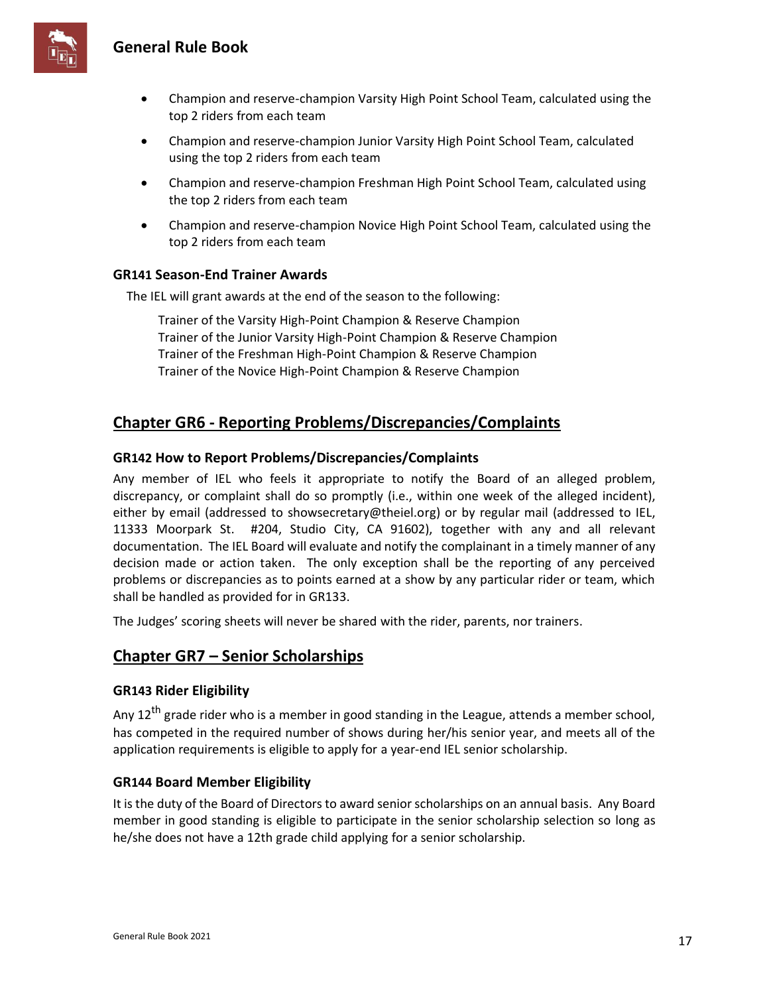

- Champion and reserve-champion Varsity High Point School Team, calculated using the top 2 riders from each team
- Champion and reserve-champion Junior Varsity High Point School Team, calculated using the top 2 riders from each team
- Champion and reserve-champion Freshman High Point School Team, calculated using the top 2 riders from each team
- Champion and reserve-champion Novice High Point School Team, calculated using the top 2 riders from each team

# **GR141 Season-End Trainer Awards**

The IEL will grant awards at the end of the season to the following:

Trainer of the Varsity High-Point Champion & Reserve Champion Trainer of the Junior Varsity High-Point Champion & Reserve Champion Trainer of the Freshman High-Point Champion & Reserve Champion Trainer of the Novice High-Point Champion & Reserve Champion

# **Chapter GR6 - Reporting Problems/Discrepancies/Complaints**

# **GR142 How to Report Problems/Discrepancies/Complaints**

Any member of IEL who feels it appropriate to notify the Board of an alleged problem, discrepancy, or complaint shall do so promptly (i.e., within one week of the alleged incident), either by email (addressed to showsecretary@theiel.org) or by regular mail (addressed to IEL, 11333 Moorpark St. #204, Studio City, CA 91602), together with any and all relevant documentation. The IEL Board will evaluate and notify the complainant in a timely manner of any decision made or action taken. The only exception shall be the reporting of any perceived problems or discrepancies as to points earned at a show by any particular rider or team, which shall be handled as provided for in GR133.

The Judges' scoring sheets will never be shared with the rider, parents, nor trainers.

# **Chapter GR7 – Senior Scholarships**

# **GR143 Rider Eligibility**

Any 12<sup>th</sup> grade rider who is a member in good standing in the League, attends a member school, has competed in the required number of shows during her/his senior year, and meets all of the application requirements is eligible to apply for a year-end IEL senior scholarship.

# **GR144 Board Member Eligibility**

It is the duty of the Board of Directors to award senior scholarships on an annual basis. Any Board member in good standing is eligible to participate in the senior scholarship selection so long as he/she does not have a 12th grade child applying for a senior scholarship.